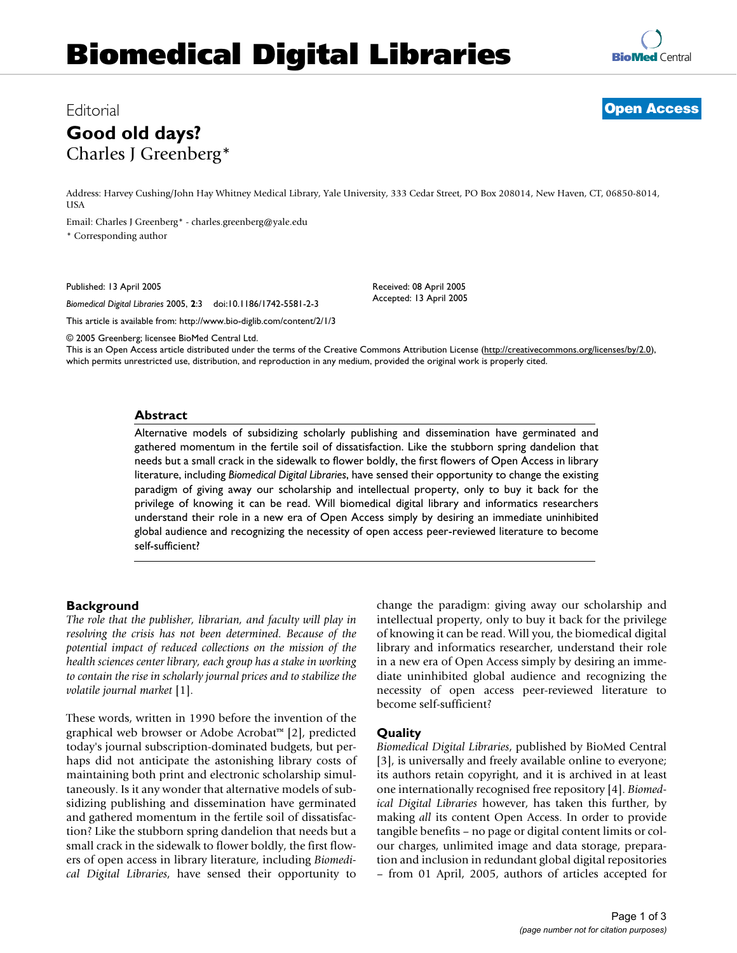# **Biomedical Digital Libraries**



### Editorial **Open Access**

## **Good old days?** Charles J Greenberg\*

Address: Harvey Cushing/John Hay Whitney Medical Library, Yale University, 333 Cedar Street, PO Box 208014, New Haven, CT, 06850-8014, USA

Email: Charles J Greenberg\* - charles.greenberg@yale.edu \* Corresponding author

Published: 13 April 2005

*Biomedical Digital Libraries* 2005, **2**:3 doi:10.1186/1742-5581-2-3

This article is available from: http://www.bio-diglib.com/content/2/1/3

Received: 08 April 2005 Accepted: 13 April 2005

© 2005 Greenberg; licensee BioMed Central Ltd.

This is an Open Access article distributed under the terms of the Creative Commons Attribution License (http://creativecommons.org/licenses/by/2.0), which permits unrestricted use, distribution, and reproduction in any medium, provided the original work is properly cited.

#### **Abstract**

Alternative models of subsidizing scholarly publishing and dissemination have germinated and gathered momentum in the fertile soil of dissatisfaction. Like the stubborn spring dandelion that needs but a small crack in the sidewalk to flower boldly, the first flowers of Open Access in library literature, including *Biomedical Digital Libraries*, have sensed their opportunity to change the existing paradigm of giving away our scholarship and intellectual property, only to buy it back for the privilege of knowing it can be read. Will biomedical digital library and informatics researchers understand their role in a new era of Open Access simply by desiring an immediate uninhibited global audience and recognizing the necessity of open access peer-reviewed literature to become self-sufficient?

#### **Background**

*The role that the publisher, librarian, and faculty will play in resolving the crisis has not been determined. Because of the potential impact of reduced collections on the mission of the health sciences center library, each group has a stake in working to contain the rise in scholarly journal prices and to stabilize the volatile journal market* [1].

These words, written in 1990 before the invention of the graphical web browser or Adobe Acrobat™ [2], predicted today's journal subscription-dominated budgets, but perhaps did not anticipate the astonishing library costs of maintaining both print and electronic scholarship simultaneously. Is it any wonder that alternative models of subsidizing publishing and dissemination have germinated and gathered momentum in the fertile soil of dissatisfaction? Like the stubborn spring dandelion that needs but a small crack in the sidewalk to flower boldly, the first flowers of open access in library literature, including *Biomedical Digital Libraries*, have sensed their opportunity to change the paradigm: giving away our scholarship and intellectual property, only to buy it back for the privilege of knowing it can be read. Will you, the biomedical digital library and informatics researcher, understand their role in a new era of Open Access simply by desiring an immediate uninhibited global audience and recognizing the necessity of open access peer-reviewed literature to become self-sufficient?

#### **Quality**

*Biomedical Digital Libraries*, published by BioMed Central [3], is universally and freely available online to everyone; its authors retain copyright, and it is archived in at least one internationally recognised free repository [4]. *Biomedical Digital Libraries* however, has taken this further, by making *all* its content Open Access. In order to provide tangible benefits – no page or digital content limits or colour charges, unlimited image and data storage, preparation and inclusion in redundant global digital repositories – from 01 April, 2005, authors of articles accepted for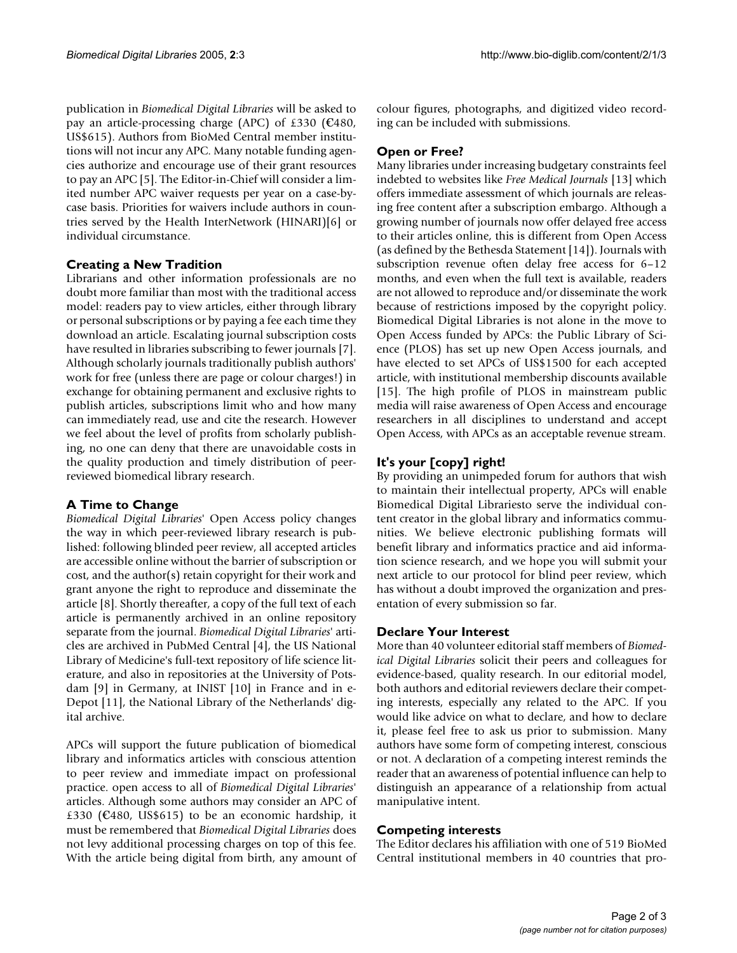publication in *Biomedical Digital Libraries* will be asked to pay an article-processing charge (APC) of £330 ( $\epsilon$ 480, US\$615). Authors from BioMed Central member institutions will not incur any APC. Many notable funding agencies authorize and encourage use of their grant resources to pay an APC [5]. The Editor-in-Chief will consider a limited number APC waiver requests per year on a case-bycase basis. Priorities for waivers include authors in countries served by the Health InterNetwork (HINARI)[6] or individual circumstance.

#### **Creating a New Tradition**

Librarians and other information professionals are no doubt more familiar than most with the traditional access model: readers pay to view articles, either through library or personal subscriptions or by paying a fee each time they download an article. Escalating journal subscription costs have resulted in libraries subscribing to fewer journals [7]. Although scholarly journals traditionally publish authors' work for free (unless there are page or colour charges!) in exchange for obtaining permanent and exclusive rights to publish articles, subscriptions limit who and how many can immediately read, use and cite the research. However we feel about the level of profits from scholarly publishing, no one can deny that there are unavoidable costs in the quality production and timely distribution of peerreviewed biomedical library research.

#### **A Time to Change**

*Biomedical Digital Libraries*' Open Access policy changes the way in which peer-reviewed library research is published: following blinded peer review, all accepted articles are accessible online without the barrier of subscription or cost, and the author(s) retain copyright for their work and grant anyone the right to reproduce and disseminate the article [8]. Shortly thereafter, a copy of the full text of each article is permanently archived in an online repository separate from the journal. *Biomedical Digital Libraries*' articles are archived in PubMed Central [4], the US National Library of Medicine's full-text repository of life science literature, and also in repositories at the University of Potsdam [9] in Germany, at INIST [10] in France and in e-Depot [11], the National Library of the Netherlands' digital archive.

APCs will support the future publication of biomedical library and informatics articles with conscious attention to peer review and immediate impact on professional practice. open access to all of *Biomedical Digital Libraries*' articles. Although some authors may consider an APC of £330 ( $E$ 480, US\$615) to be an economic hardship, it must be remembered that *Biomedical Digital Libraries* does not levy additional processing charges on top of this fee. With the article being digital from birth, any amount of colour figures, photographs, and digitized video recording can be included with submissions.

#### **Open or Free?**

Many libraries under increasing budgetary constraints feel indebted to websites like *Free Medical Journals* [13] which offers immediate assessment of which journals are releasing free content after a subscription embargo. Although a growing number of journals now offer delayed free access to their articles online, this is different from Open Access (as defined by the Bethesda Statement [14]). Journals with subscription revenue often delay free access for 6–12 months, and even when the full text is available, readers are not allowed to reproduce and/or disseminate the work because of restrictions imposed by the copyright policy. Biomedical Digital Libraries is not alone in the move to Open Access funded by APCs: the Public Library of Science (PLOS) has set up new Open Access journals, and have elected to set APCs of US\$1500 for each accepted article, with institutional membership discounts available [15]. The high profile of PLOS in mainstream public media will raise awareness of Open Access and encourage researchers in all disciplines to understand and accept Open Access, with APCs as an acceptable revenue stream.

#### **It's your [copy] right!**

By providing an unimpeded forum for authors that wish to maintain their intellectual property, APCs will enable Biomedical Digital Librariesto serve the individual content creator in the global library and informatics communities. We believe electronic publishing formats will benefit library and informatics practice and aid information science research, and we hope you will submit your next article to our protocol for blind peer review, which has without a doubt improved the organization and presentation of every submission so far.

#### **Declare Your Interest**

More than 40 volunteer editorial staff members of *Biomedical Digital Libraries* solicit their peers and colleagues for evidence-based, quality research. In our editorial model, both authors and editorial reviewers declare their competing interests, especially any related to the APC. If you would like advice on what to declare, and how to declare it, please feel free to ask us prior to submission. Many authors have some form of competing interest, conscious or not. A declaration of a competing interest reminds the reader that an awareness of potential influence can help to distinguish an appearance of a relationship from actual manipulative intent.

#### **Competing interests**

The Editor declares his affiliation with one of 519 BioMed Central institutional members in 40 countries that pro